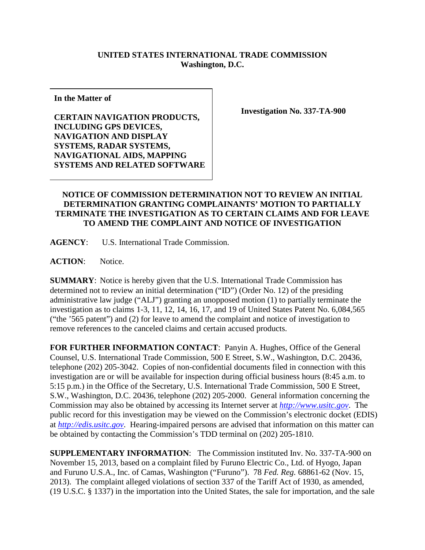## **UNITED STATES INTERNATIONAL TRADE COMMISSION Washington, D.C.**

**In the Matter of**

**CERTAIN NAVIGATION PRODUCTS, INCLUDING GPS DEVICES, NAVIGATION AND DISPLAY SYSTEMS, RADAR SYSTEMS, NAVIGATIONAL AIDS, MAPPING SYSTEMS AND RELATED SOFTWARE** **Investigation No. 337-TA-900**

## **NOTICE OF COMMISSION DETERMINATION NOT TO REVIEW AN INITIAL DETERMINATION GRANTING COMPLAINANTS' MOTION TO PARTIALLY TERMINATE THE INVESTIGATION AS TO CERTAIN CLAIMS AND FOR LEAVE TO AMEND THE COMPLAINT AND NOTICE OF INVESTIGATION**

**AGENCY**: U.S. International Trade Commission.

**ACTION**: Notice.

**SUMMARY**: Notice is hereby given that the U.S. International Trade Commission has determined not to review an initial determination ("ID") (Order No. 12) of the presiding administrative law judge ("ALJ") granting an unopposed motion (1) to partially terminate the investigation as to claims 1-3, 11, 12, 14, 16, 17, and 19 of United States Patent No. 6,084,565 ("the '565 patent") and (2) for leave to amend the complaint and notice of investigation to remove references to the canceled claims and certain accused products.

**FOR FURTHER INFORMATION CONTACT**: Panyin A. Hughes, Office of the General Counsel, U.S. International Trade Commission, 500 E Street, S.W., Washington, D.C. 20436, telephone (202) 205-3042. Copies of non-confidential documents filed in connection with this investigation are or will be available for inspection during official business hours (8:45 a.m. to 5:15 p.m.) in the Office of the Secretary, U.S. International Trade Commission, 500 E Street, S.W., Washington, D.C. 20436, telephone (202) 205-2000. General information concerning the Commission may also be obtained by accessing its Internet server at *[http://www.usitc.gov](http://www.usitc.gov/)*. The public record for this investigation may be viewed on the Commission's electronic docket (EDIS) at *[http://edis.usitc.gov](http://edis.usitc.gov/)*. Hearing-impaired persons are advised that information on this matter can be obtained by contacting the Commission's TDD terminal on (202) 205-1810.

**SUPPLEMENTARY INFORMATION**: The Commission instituted Inv. No. 337-TA-900 on November 15, 2013, based on a complaint filed by Furuno Electric Co., Ltd. of Hyogo, Japan and Furuno U.S.A., Inc. of Camas, Washington ("Furuno"). 78 *Fed. Reg.* 68861-62 (Nov. 15, 2013). The complaint alleged violations of section 337 of the Tariff Act of 1930, as amended, (19 U.S.C. § 1337) in the importation into the United States, the sale for importation, and the sale